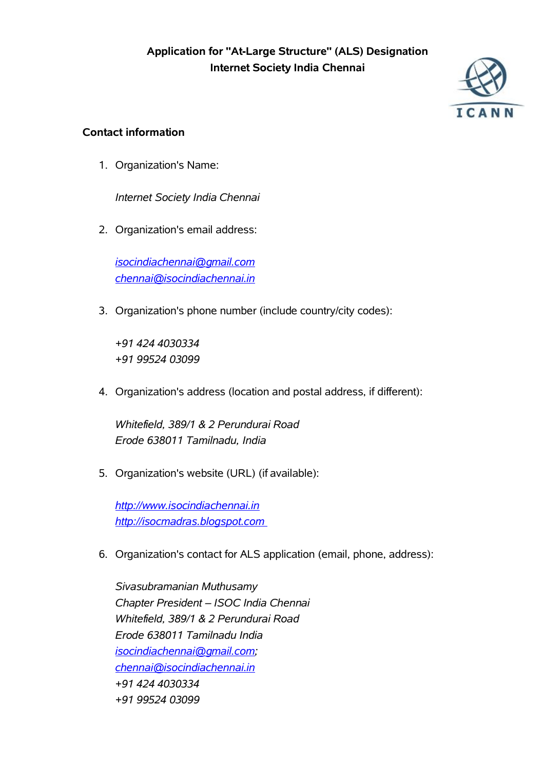

# **Contact information**

1. Organization's Name:

*Internet Society India Chennai*

2. Organization's email address:

*isocindiachennai@gmail.com chennai@isocindiachennai.in*

3. Organization's phone number (include country/city codes):

*+91 424 4030334 +91 99524 03099*

4. Organization's address (location and postal address, if different):

*Whitefield, 389/1 & 2 Perundurai Road Erode 638011 Tamilnadu, India*

5. Organization's website (URL) (if available):

*http://www.isocindiachennai.in http://isocmadras.blogspot.com*

6. Organization's contact for ALS application (email, phone, address):

*Sivasubramanian Muthusamy Chapter President – ISOC India Chennai Whitefield, 389/1 & 2 Perundurai Road Erode 638011 Tamilnadu India isocindiachennai@gmail.com; chennai@isocindiachennai.in +91 424 4030334 +91 99524 03099*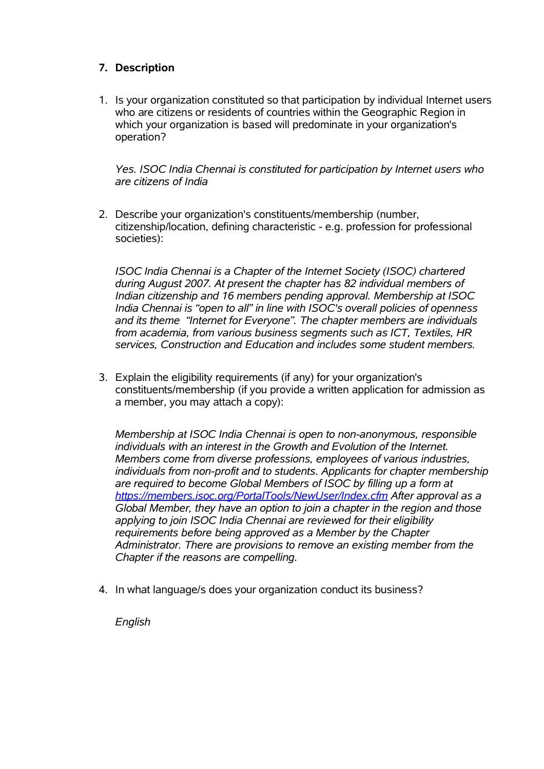## **7. Description**

1. Is your organization constituted so that participation by individual Internet users who are citizens or residents of countries within the Geographic Region in which your organization is based will predominate in your organization's operation?

*Yes. ISOC India Chennai is constituted for participation by Internet users who are citizens of India*

2. Describe your organization's constituents/membership (number, citizenship/location, defining characteristic - e.g. profession for professional societies):

*ISOC India Chennai is a Chapter of the Internet Society (ISOC) chartered during August 2007. At present the chapter has 82 individual members of Indian citizenship and 16 members pending approval. Membership at ISOC India Chennai is "open to all" in line with ISOC's overall policies of openness and its theme "Internet for Everyone". The chapter members are individuals from academia, from various business segments such as ICT, Textiles, HR services, Construction and Education and includes some student members.*

3. Explain the eligibility requirements (if any) for your organization's constituents/membership (if you provide a written application for admission as a member, you may attach a copy):

*Membership at ISOC India Chennai is open to non-anonymous, responsible individuals with an interest in the Growth and Evolution of the Internet. Members come from diverse professions, employees of various industries, individuals from non-profit and to students. Applicants for chapter membership are required to become Global Members of ISOC by filling up a form at https://members.isoc.org/PortalTools/NewUser/Index.cfm After approval as a Global Member, they have an option to join a chapter in the region and those applying to join ISOC India Chennai are reviewed for their eligibility requirements before being approved as a Member by the Chapter Administrator. There are provisions to remove an existing member from the Chapter if the reasons are compelling.*

4. In what language/s does your organization conduct its business?

*English*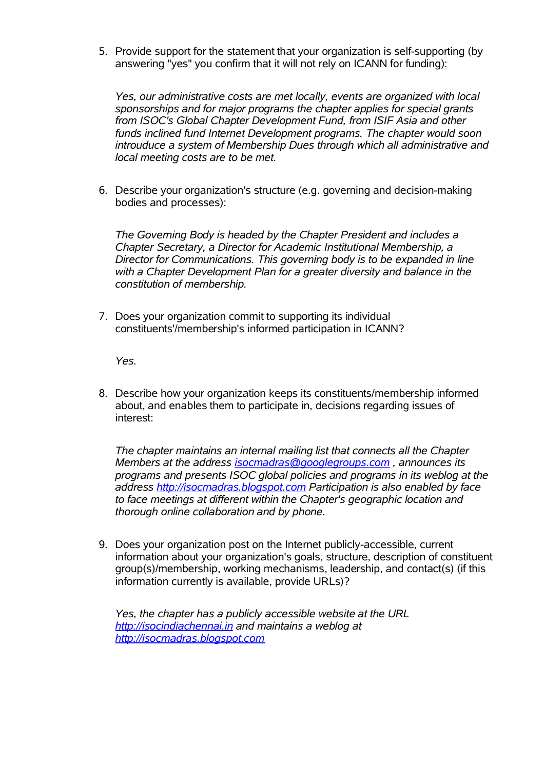5. Provide support for the statement that your organization is self-supporting (by answering "yes" you confirm that it will not rely on ICANN for funding):

*Yes, our administrative costs are met locally, events are organized with local sponsorships and for major programs the chapter applies for special grants from ISOC's Global Chapter Development Fund, from ISIF Asia and other funds inclined fund Internet Development programs. The chapter would soon introuduce a system of Membership Dues through which all administrative and local meeting costs are to be met.*

6. Describe your organization's structure (e.g. governing and decision-making bodies and processes):

*The Governing Body is headed by the Chapter President and includes a Chapter Secretary, a Director for Academic Institutional Membership, a Director for Communications. This governing body is to be expanded in line with a Chapter Development Plan for a greater diversity and balance in the constitution of membership.*

7. Does your organization commit to supporting its individual constituents'/membership's informed participation in ICANN?

*Yes.*

8. Describe how your organization keeps its constituents/membership informed about, and enables them to participate in, decisions regarding issues of interest:

*The chapter maintains an internal mailing list that connects all the Chapter Members at the address isocmadras@googlegroups.com , announces its programs and presents ISOC global policies and programs in its weblog at the address http://isocmadras.blogspot.com Participation is also enabled by face to face meetings at different within the Chapter's geographic location and thorough online collaboration and by phone.*

9. Does your organization post on the Internet publicly-accessible, current information about your organization's goals, structure, description of constituent group(s)/membership, working mechanisms, leadership, and contact(s) (if this information currently is available, provide URLs)?

*Yes, the chapter has a publicly accessible website at the URL http://isocindiachennai.in and maintains a weblog at http://isocmadras.blogspot.com*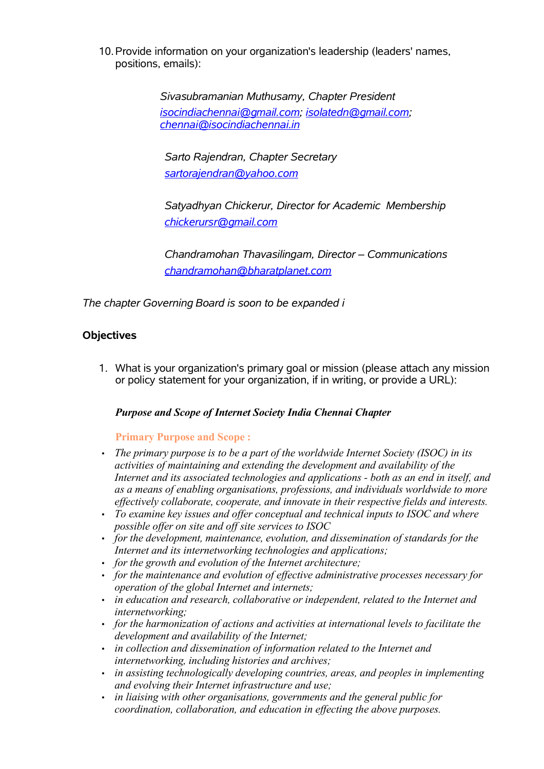10.Provide information on your organization's leadership (leaders' names, positions, emails):

> *Sivasubramanian Muthusamy, Chapter President isocindiachennai@gmail.com; isolatedn@gmail.com; chennai@isocindiachennai.in*

*Sarto Rajendran, Chapter Secretary sartorajendran@yahoo.com*

*Satyadhyan Chickerur, Director for Academic Membership chickerursr@gmail.com*

*Chandramohan Thavasilingam, Director – Communications chandramohan@bharatplanet.com*

*The chapter Governing Board is soon to be expanded i*

# **Objectives**

1. What is your organization's primary goal or mission (please attach any mission or policy statement for your organization, if in writing, or provide a URL):

### *Purpose and Scope of Internet Society India Chennai Chapter*

### **Primary Purpose and Scope :**

- *The primary purpose is to be a part of the worldwide Internet Society (ISOC) in its activities of maintaining and extending the development and availability of the Internet and its associated technologies and applications - both as an end in itself, and as a means of enabling organisations, professions, and individuals worldwide to more effectively collaborate, cooperate, and innovate in their respective fields and interests.*
- *To examine key issues and offer conceptual and technical inputs to ISOC and where possible offer on site and off site services to ISOC*
- *for the development, maintenance, evolution, and dissemination of standards for the Internet and its internetworking technologies and applications;*
- *for the growth and evolution of the Internet architecture;*
- *for the maintenance and evolution of effective administrative processes necessary for operation of the global Internet and internets;*
- *in education and research, collaborative or independent, related to the Internet and internetworking;*
- *for the harmonization of actions and activities at international levels to facilitate the development and availability of the Internet;*
- *in collection and dissemination of information related to the Internet and internetworking, including histories and archives;*
- *in assisting technologically developing countries, areas, and peoples in implementing and evolving their Internet infrastructure and use;*
- *in liaising with other organisations, governments and the general public for coordination, collaboration, and education in effecting the above purposes.*